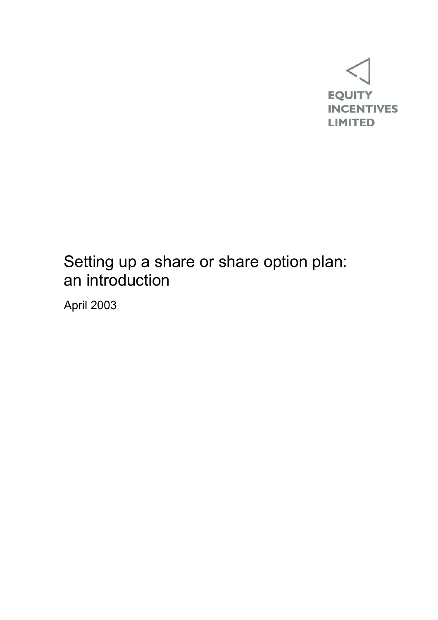

# Setting up a share or share option plan: an introduction

April 2003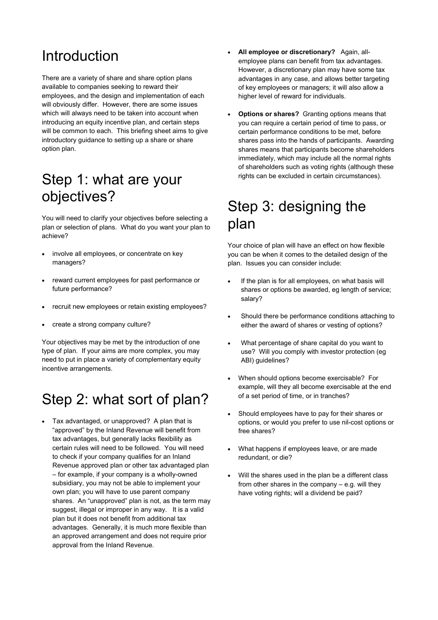## Introduction

There are a variety of share and share option plans available to companies seeking to reward their employees, and the design and implementation of each will obviously differ. However, there are some issues which will always need to be taken into account when introducing an equity incentive plan, and certain steps will be common to each. This briefing sheet aims to give introductory guidance to setting up a share or share option plan.

## Step 1: what are your objectives?

You will need to clarify your objectives before selecting a plan or selection of plans. What do you want your plan to achieve?

- involve all employees, or concentrate on key managers?
- reward current employees for past performance or future performance?
- recruit new employees or retain existing employees?
- create a strong company culture?

Your objectives may be met by the introduction of one type of plan. If your aims are more complex, you may need to put in place a variety of complementary equity incentive arrangements.

## Step 2: what sort of plan?

• Tax advantaged, or unapproved? A plan that is "approved" by the Inland Revenue will benefit from tax advantages, but generally lacks flexibility as certain rules will need to be followed. You will need to check if your company qualifies for an Inland Revenue approved plan or other tax advantaged plan – for example, if your company is a wholly-owned subsidiary, you may not be able to implement your own plan; you will have to use parent company shares. An "unapproved" plan is not, as the term may suggest, illegal or improper in any way. It is a valid plan but it does not benefit from additional tax advantages. Generally, it is much more flexible than an approved arrangement and does not require prior approval from the Inland Revenue.

- **All employee or discretionary?** Again, allemployee plans can benefit from tax advantages. However, a discretionary plan may have some tax advantages in any case, and allows better targeting of key employees or managers; it will also allow a higher level of reward for individuals.
- **Options or shares?** Granting options means that you can require a certain period of time to pass, or certain performance conditions to be met, before shares pass into the hands of participants. Awarding shares means that participants become shareholders immediately, which may include all the normal rights of shareholders such as voting rights (although these rights can be excluded in certain circumstances).

## Step 3: designing the plan

Your choice of plan will have an effect on how flexible you can be when it comes to the detailed design of the plan. Issues you can consider include:

- If the plan is for all employees, on what basis will shares or options be awarded, eg length of service; salary?
- Should there be performance conditions attaching to either the award of shares or vesting of options?
- What percentage of share capital do you want to use? Will you comply with investor protection (eg ABI) guidelines?
- When should options become exercisable? For example, will they all become exercisable at the end of a set period of time, or in tranches?
- Should employees have to pay for their shares or options, or would you prefer to use nil-cost options or free shares?
- What happens if employees leave, or are made redundant, or die?
- Will the shares used in the plan be a different class from other shares in the company – e.g. will they have voting rights; will a dividend be paid?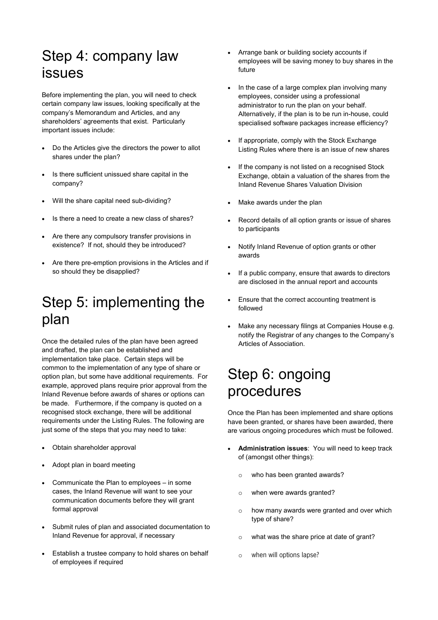## Step 4: company law issues

Before implementing the plan, you will need to check certain company law issues, looking specifically at the company's Memorandum and Articles, and any shareholders' agreements that exist. Particularly important issues include:

- Do the Articles give the directors the power to allot shares under the plan?
- Is there sufficient unissued share capital in the company?
- Will the share capital need sub-dividing?
- Is there a need to create a new class of shares?
- Are there any compulsory transfer provisions in existence? If not, should they be introduced?
- Are there pre-emption provisions in the Articles and if so should they be disapplied?

## Step 5: implementing the plan

Once the detailed rules of the plan have been agreed and drafted, the plan can be established and implementation take place. Certain steps will be common to the implementation of any type of share or option plan, but some have additional requirements. For example, approved plans require prior approval from the Inland Revenue before awards of shares or options can be made. Furthermore, if the company is quoted on a recognised stock exchange, there will be additional requirements under the Listing Rules. The following are just some of the steps that you may need to take:

- Obtain shareholder approval
- Adopt plan in board meeting
- Communicate the Plan to employees in some cases, the Inland Revenue will want to see your communication documents before they will grant formal approval
- Submit rules of plan and associated documentation to Inland Revenue for approval, if necessary
- Establish a trustee company to hold shares on behalf of employees if required
- Arrange bank or building society accounts if employees will be saving money to buy shares in the future
- In the case of a large complex plan involving many employees, consider using a professional administrator to run the plan on your behalf. Alternatively, if the plan is to be run in-house, could specialised software packages increase efficiency?
- If appropriate, comply with the Stock Exchange Listing Rules where there is an issue of new shares
- If the company is not listed on a recognised Stock Exchange, obtain a valuation of the shares from the Inland Revenue Shares Valuation Division
- Make awards under the plan
- Record details of all option grants or issue of shares to participants
- Notify Inland Revenue of option grants or other awards
- If a public company, ensure that awards to directors are disclosed in the annual report and accounts
- Ensure that the correct accounting treatment is followed
- Make any necessary filings at Companies House e.g. notify the Registrar of any changes to the Company's Articles of Association.

#### Step 6: ongoing procedures

Once the Plan has been implemented and share options have been granted, or shares have been awarded, there are various ongoing procedures which must be followed.

- **Administration issues**: You will need to keep track of (amongst other things):
	- o who has been granted awards?
	- o when were awards granted?
	- o how many awards were granted and over which type of share?
	- o what was the share price at date of grant?
	- o when will options lapse?